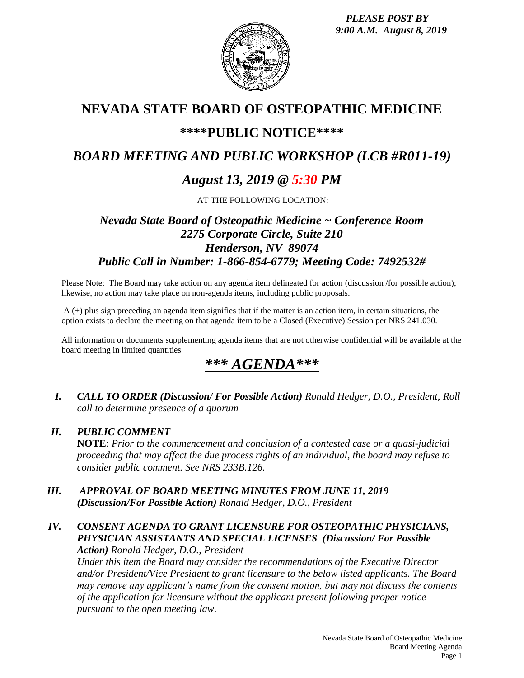*PLEASE POST BY 9:00 A.M. August 8, 2019*



# **NEVADA STATE BOARD OF OSTEOPATHIC MEDICINE**

# **\*\*\*\*PUBLIC NOTICE\*\*\*\***

# *BOARD MEETING AND PUBLIC WORKSHOP (LCB #R011-19)*

# *August 13, 2019 @ 5:30 PM*

AT THE FOLLOWING LOCATION:

# *Nevada State Board of Osteopathic Medicine ~ Conference Room 2275 Corporate Circle, Suite 210 Henderson, NV 89074 Public Call in Number: 1-866-854-6779; Meeting Code: 7492532#*

Please Note: The Board may take action on any agenda item delineated for action (discussion /for possible action); likewise, no action may take place on non-agenda items, including public proposals.

A (+) plus sign preceding an agenda item signifies that if the matter is an action item, in certain situations, the option exists to declare the meeting on that agenda item to be a Closed (Executive) Session per NRS 241.030.

All information or documents supplementing agenda items that are not otherwise confidential will be available at the board meeting in limited quantities

# *\*\*\* AGENDA\*\*\**

*I. CALL TO ORDER (Discussion/ For Possible Action) Ronald Hedger, D.O., President, Roll call to determine presence of a quorum*

# *II. PUBLIC COMMENT*

**NOTE**: *Prior to the commencement and conclusion of a contested case or a quasi-judicial proceeding that may affect the due process rights of an individual, the board may refuse to consider public comment. See NRS 233B.126.*

*III. APPROVAL OF BOARD MEETING MINUTES FROM JUNE 11, 2019 (Discussion/For Possible Action) Ronald Hedger, D.O., President*

## *IV. CONSENT AGENDA TO GRANT LICENSURE FOR OSTEOPATHIC PHYSICIANS, PHYSICIAN ASSISTANTS AND SPECIAL LICENSES (Discussion/ For Possible Action) Ronald Hedger, D.O., President*

*Under this item the Board may consider the recommendations of the Executive Director and/or President/Vice President to grant licensure to the below listed applicants. The Board may remove any applicant's name from the consent motion, but may not discuss the contents of the application for licensure without the applicant present following proper notice pursuant to the open meeting law.*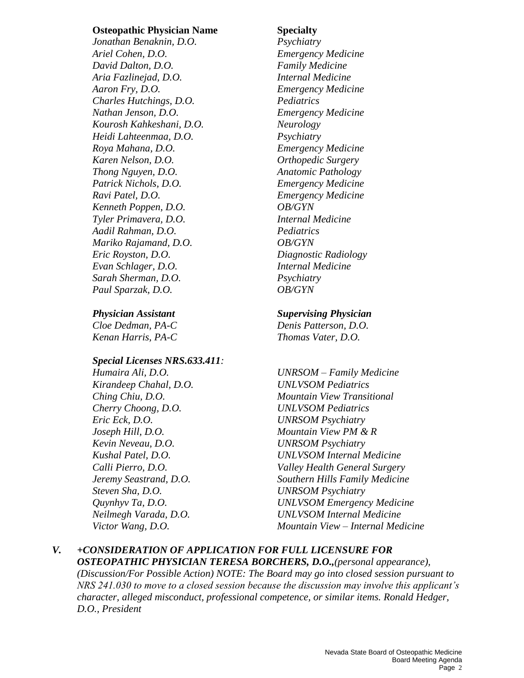## **Osteopathic Physician Name Specialty**

*Jonathan Benaknin, D.O. Psychiatry Ariel Cohen, D.O. Emergency Medicine David Dalton, D.O. Family Medicine Aria Fazlinejad, D.O. Internal Medicine Aaron Fry, D.O. Emergency Medicine Charles Hutchings, D.O. Pediatrics Nathan Jenson, D.O. Emergency Medicine Kourosh Kahkeshani, D.O. Neurology Heidi Lahteenmaa, D.O. Psychiatry Roya Mahana, D.O. Emergency Medicine Karen Nelson, D.O. Orthopedic Surgery Thong Nguyen, D.O. Anatomic Pathology Patrick Nichols, D.O. Emergency Medicine Ravi Patel, D.O. Emergency Medicine Kenneth Poppen, D.O. OB/GYN Tyler Primavera, D.O. Internal Medicine Aadil Rahman, D.O. Pediatrics Mariko Rajamand, D.O. OB/GYN Eric Royston, D.O. Diagnostic Radiology Evan Schlager, D.O. Internal Medicine Sarah Sherman, D.O. Psychiatry Paul Sparzak, D.O. OB/GYN*

*Cloe Dedman, PA-C Denis Patterson, D.O. Kenan Harris, PA-C Thomas Vater, D.O.*

## *Special Licenses NRS.633.411:*

*Kirandeep Chahal, D.O. UNLVSOM Pediatrics Cherry Choong, D.O. UNLVSOM Pediatrics Eric Eck, D.O. UNRSOM Psychiatry Joseph Hill, D.O. Mountain View PM & R Kevin Neveau, D.O. UNRSOM Psychiatry Steven Sha, D.O. UNRSOM Psychiatry* 

## *Physician Assistant Supervising Physician*

*Humaira Ali, D.O. UNRSOM – Family Medicine Ching Chiu, D.O. Mountain View Transitional Kushal Patel, D.O. UNLVSOM Internal Medicine Calli Pierro, D.O. Valley Health General Surgery Jeremy Seastrand, D.O. Southern Hills Family Medicine Quynhyv Ta, D.O. UNLVSOM Emergency Medicine Neilmegh Varada, D.O. UNLVSOM Internal Medicine Victor Wang, D.O. Mountain View – Internal Medicine*

## *V. +CONSIDERATION OF APPLICATION FOR FULL LICENSURE FOR OSTEOPATHIC PHYSICIAN TERESA BORCHERS, D.O.,(personal appearance), (Discussion/For Possible Action) NOTE: The Board may go into closed session pursuant to NRS 241.030 to move to a closed session because the discussion may involve this applicant's character, alleged misconduct, professional competence, or similar items. Ronald Hedger,*

*D.O., President*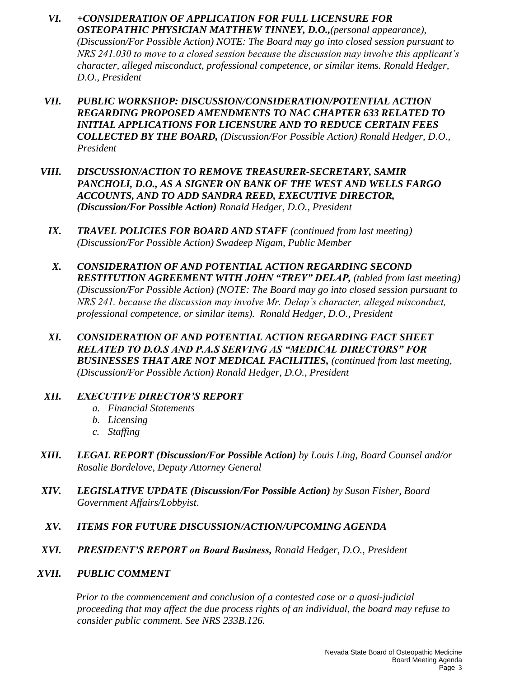- *VI. +CONSIDERATION OF APPLICATION FOR FULL LICENSURE FOR OSTEOPATHIC PHYSICIAN MATTHEW TINNEY, D.O.,(personal appearance), (Discussion/For Possible Action) NOTE: The Board may go into closed session pursuant to NRS 241.030 to move to a closed session because the discussion may involve this applicant's character, alleged misconduct, professional competence, or similar items. Ronald Hedger, D.O., President*
- *VII. PUBLIC WORKSHOP: DISCUSSION/CONSIDERATION/POTENTIAL ACTION REGARDING PROPOSED AMENDMENTS TO NAC CHAPTER 633 RELATED TO INITIAL APPLICATIONS FOR LICENSURE AND TO REDUCE CERTAIN FEES COLLECTED BY THE BOARD, (Discussion/For Possible Action) Ronald Hedger, D.O., President*
- *VIII. DISCUSSION/ACTION TO REMOVE TREASURER-SECRETARY, SAMIR PANCHOLI, D.O., AS A SIGNER ON BANK OF THE WEST AND WELLS FARGO ACCOUNTS, AND TO ADD SANDRA REED, EXECUTIVE DIRECTOR, (Discussion/For Possible Action) Ronald Hedger, D.O., President* 
	- *IX. TRAVEL POLICIES FOR BOARD AND STAFF (continued from last meeting) (Discussion/For Possible Action) Swadeep Nigam, Public Member*
	- *X. CONSIDERATION OF AND POTENTIAL ACTION REGARDING SECOND RESTITUTION AGREEMENT WITH JOHN "TREY" DELAP, (tabled from last meeting) (Discussion/For Possible Action) (NOTE: The Board may go into closed session pursuant to NRS 241. because the discussion may involve Mr. Delap's character, alleged misconduct, professional competence, or similar items). Ronald Hedger, D.O., President*
	- *XI. CONSIDERATION OF AND POTENTIAL ACTION REGARDING FACT SHEET RELATED TO D.O.S AND P.A.S SERVING AS "MEDICAL DIRECTORS" FOR BUSINESSES THAT ARE NOT MEDICAL FACILITIES, (continued from last meeting, (Discussion/For Possible Action) Ronald Hedger, D.O., President*

## *XII. EXECUTIVE DIRECTOR'S REPORT*

- *a. Financial Statements*
- *b. Licensing*
- *c. Staffing*
- *XIII. LEGAL REPORT (Discussion/For Possible Action) by Louis Ling, Board Counsel and/or Rosalie Bordelove, Deputy Attorney General*
- *XIV. LEGISLATIVE UPDATE (Discussion/For Possible Action) by Susan Fisher, Board Government Affairs/Lobbyist*.
- *XV. ITEMS FOR FUTURE DISCUSSION/ACTION/UPCOMING AGENDA*
- *XVI. PRESIDENT'S REPORT on Board Business, Ronald Hedger, D.O., President*

## *XVII. PUBLIC COMMENT*

*Prior to the commencement and conclusion of a contested case or a quasi-judicial proceeding that may affect the due process rights of an individual, the board may refuse to consider public comment. See NRS 233B.126.*